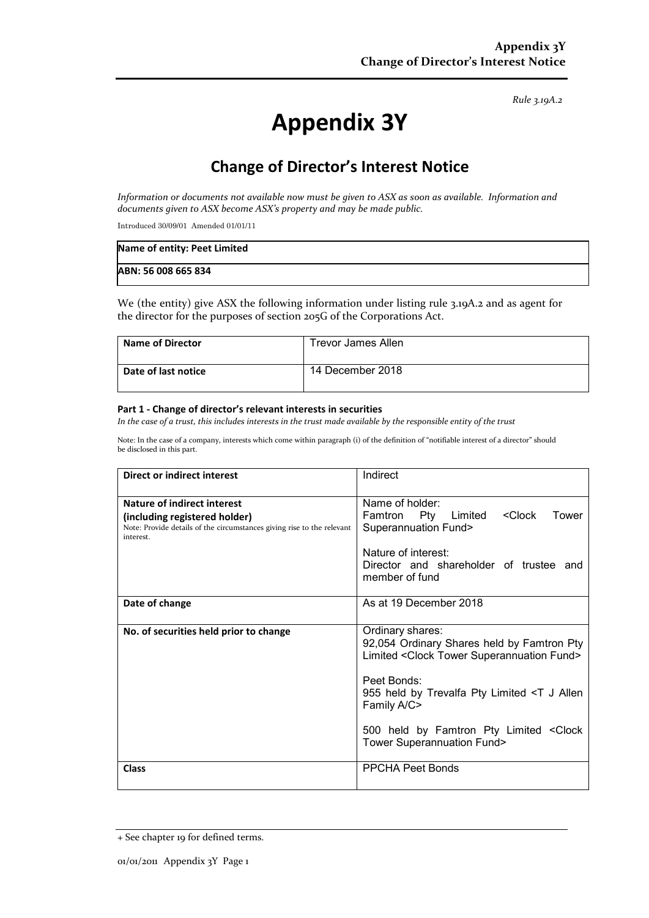*Rule 3.19A.2*

# **Appendix 3Y**

## **Change of Director's Interest Notice**

*Information or documents not available now must be given to ASX as soon as available. Information and documents given to ASX become ASX's property and may be made public.*

Introduced 30/09/01 Amended 01/01/11

| Name of entity: Peet Limited |  |
|------------------------------|--|
| ABN: 56 008 665 834          |  |

We (the entity) give ASX the following information under listing rule 3.19A.2 and as agent for the director for the purposes of section 205G of the Corporations Act.

| <b>Name of Director</b> | Trevor James Allen |
|-------------------------|--------------------|
| Date of last notice     | 14 December 2018   |

#### **Part 1 - Change of director's relevant interests in securities**

*In the case of a trust, this includes interests in the trust made available by the responsible entity of the trust*

Note: In the case of a company, interests which come within paragraph (i) of the definition of "notifiable interest of a director" should be disclosed in this part.

| <b>Direct or indirect interest</b>                                                                                                                  | Indirect                                                                                                                                                                                                                                                                                       |  |
|-----------------------------------------------------------------------------------------------------------------------------------------------------|------------------------------------------------------------------------------------------------------------------------------------------------------------------------------------------------------------------------------------------------------------------------------------------------|--|
| Nature of indirect interest<br>(including registered holder)<br>Note: Provide details of the circumstances giving rise to the relevant<br>interest. | Name of holder:<br><clock<br>Pty Limited<br/>Tower<br/>Famtron<br/><b>Superannuation Fund&gt;</b><br/>Nature of interest:<br/>Director and shareholder of trustee and<br/>member of fund</clock<br>                                                                                            |  |
| Date of change                                                                                                                                      | As at 19 December 2018                                                                                                                                                                                                                                                                         |  |
| No. of securities held prior to change                                                                                                              | Ordinary shares:<br>92,054 Ordinary Shares held by Famtron Pty<br>Limited < Clock Tower Superannuation Fund><br>Peet Bonds:<br>955 held by Trevalfa Pty Limited <t allen<br="" j="">Family A/C&gt;<br/>500 held by Famtron Pty Limited &lt; Clock<br/><b>Tower Superannuation Fund&gt;</b></t> |  |
| <b>Class</b>                                                                                                                                        | <b>PPCHA Peet Bonds</b>                                                                                                                                                                                                                                                                        |  |

<sup>+</sup> See chapter 19 for defined terms.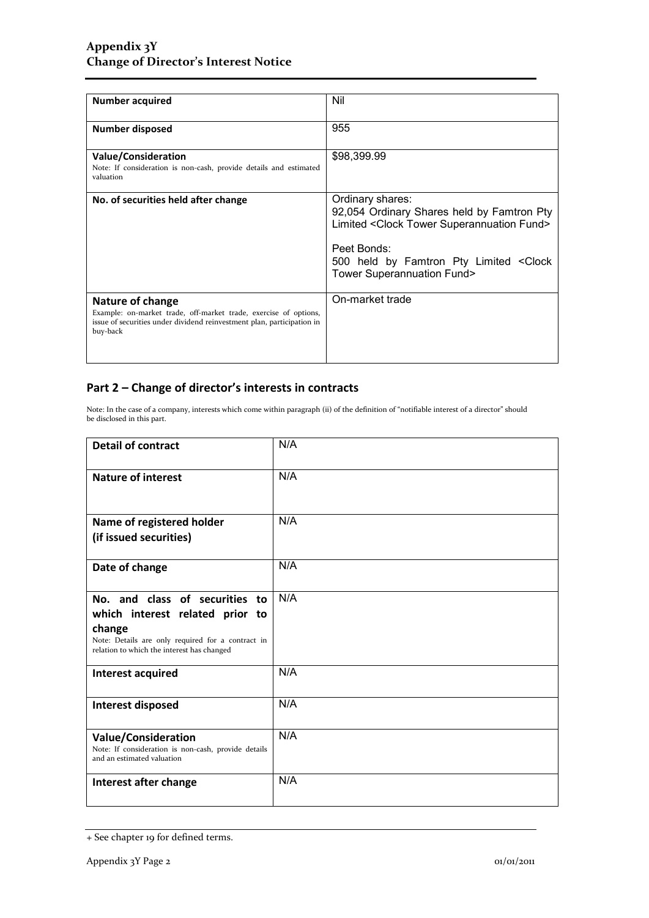| <b>Number acquired</b>                                                                                                                                                            | Nil                                                                                                                                                                                                                                  |
|-----------------------------------------------------------------------------------------------------------------------------------------------------------------------------------|--------------------------------------------------------------------------------------------------------------------------------------------------------------------------------------------------------------------------------------|
| Number disposed                                                                                                                                                                   | 955                                                                                                                                                                                                                                  |
| Value/Consideration<br>Note: If consideration is non-cash, provide details and estimated<br>valuation                                                                             | \$98,399.99                                                                                                                                                                                                                          |
| No. of securities held after change                                                                                                                                               | Ordinary shares:<br>92,054 Ordinary Shares held by Famtron Pty<br>Limited <clock fund="" superannuation="" tower=""><br/>Peet Bonds:<br/>500 held by Famtron Pty Limited &lt; Clock<br/><b>Tower Superannuation Fund&gt;</b></clock> |
| <b>Nature of change</b><br>Example: on-market trade, off-market trade, exercise of options,<br>issue of securities under dividend reinvestment plan, participation in<br>buy-back | On-market trade                                                                                                                                                                                                                      |

### **Part 2 – Change of director's interests in contracts**

Note: In the case of a company, interests which come within paragraph (ii) of the definition of "notifiable interest of a director" should be disclosed in this part.

| <b>Detail of contract</b>                                                                                                                                                      | N/A |
|--------------------------------------------------------------------------------------------------------------------------------------------------------------------------------|-----|
| <b>Nature of interest</b>                                                                                                                                                      | N/A |
| Name of registered holder<br>(if issued securities)                                                                                                                            | N/A |
| Date of change                                                                                                                                                                 | N/A |
| No. and class of securities to<br>which interest related prior to<br>change<br>Note: Details are only required for a contract in<br>relation to which the interest has changed | N/A |
| <b>Interest acquired</b>                                                                                                                                                       | N/A |
| Interest disposed                                                                                                                                                              | N/A |
| <b>Value/Consideration</b><br>Note: If consideration is non-cash, provide details<br>and an estimated valuation                                                                | N/A |
| Interest after change                                                                                                                                                          | N/A |

<sup>+</sup> See chapter 19 for defined terms.